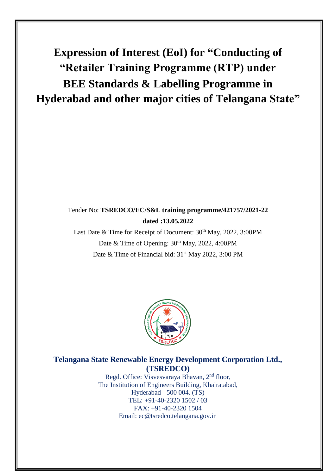**Expression of Interest (EoI) for "Conducting of "Retailer Training Programme (RTP) under BEE Standards & Labelling Programme in Hyderabad and other major cities of Telangana State"**

Tender No: **TSREDCO/EC/S&L training programme/421757/2021-22 dated :13.05.2022**

# Tender No: **TSREDCO/EC/S&L training programme/421757/2021-22 dated :13.05.2022**

Last Date & Time for Receipt of Document:  $30<sup>th</sup>$  May, 2022, 3:00PM Date & Time of Opening:  $30<sup>th</sup>$  May, 2022, 4:00PM Date & Time of Financial bid: 31<sup>st</sup> May 2022, 3:00 PM



# **Telangana State Renewable Energy Development Corporation Ltd., (TSREDCO)**

Regd. Office: Visvesvaraya Bhavan, 2nd floor, The Institution of Engineers Building, Khairatabad, Hyderabad - 500 004. (TS) TEL: +91-40-2320 1502 / 03 FAX: +91-40-2320 1504 Email: [ec@tsredco.telangana.gov.in](mailto:ec@tsredco.telangana.gov.in)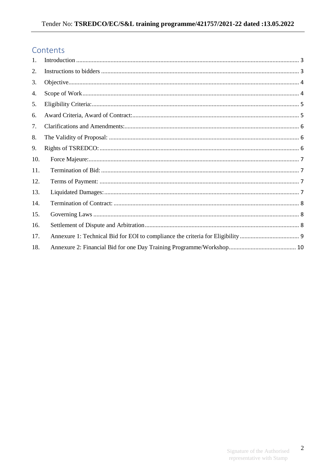# Contents

| 1.  |  |
|-----|--|
| 2.  |  |
| 3.  |  |
| 4.  |  |
| 5.  |  |
| 6.  |  |
| 7.  |  |
| 8.  |  |
| 9.  |  |
| 10. |  |
| 11. |  |
| 12. |  |
| 13. |  |
| 14. |  |
| 15. |  |
| 16. |  |
| 17. |  |
| 18. |  |

 $\overline{2}$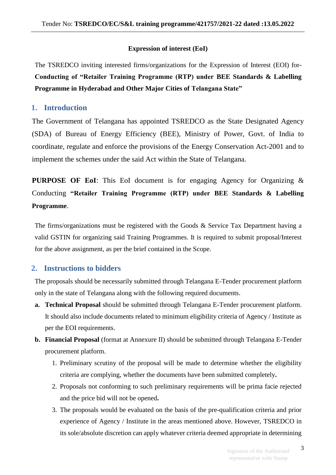### **Expression of interest (EoI)**

The TSREDCO inviting interested firms/organizations for the Expression of Interest (EOI) for-**Conducting of "Retailer Training Programme (RTP) under BEE Standards & Labelling Programme in Hyderabad and Other Major Cities of Telangana State"** 

### <span id="page-2-0"></span>**1. Introduction**

The Government of Telangana has appointed TSREDCO as the State Designated Agency (SDA) of Bureau of Energy Efficiency (BEE), Ministry of Power, Govt. of India to coordinate, regulate and enforce the provisions of the Energy Conservation Act-2001 and to implement the schemes under the said Act within the State of Telangana.

**PURPOSE OF EoI**: This EoI document is for engaging Agency for Organizing & Conducting **"Retailer Training Programme (RTP) under BEE Standards & Labelling Programme**.

The firms/organizations must be registered with the Goods & Service Tax Department having a valid GSTIN for organizing said Training Programmes. It is required to submit proposal/Interest for the above assignment, as per the brief contained in the Scope.

# <span id="page-2-1"></span>**2. Instructions to bidders**

The proposals should be necessarily submitted through Telangana E-Tender procurement platform only in the state of Telangana along with the following required documents.

- **a. Technical Proposal** should be submitted through Telangana E-Tender procurement platform. It should also include documents related to minimum eligibility criteria of Agency / Institute as per the EOI requirements.
- **b. Financial Proposal** (format at Annexure II) should be submitted through Telangana E-Tender procurement platform.
	- 1. Preliminary scrutiny of the proposal will be made to determine whether the eligibility criteria are complying, whether the documents have been submitted completely**.**
	- 2. Proposals not conforming to such preliminary requirements will be prima facie rejected and the price bid will not be opened**.**
	- 3. The proposals would be evaluated on the basis of the pre-qualification criteria and prior experience of Agency / Institute in the areas mentioned above. However, TSREDCO in its sole/absolute discretion can apply whatever criteria deemed appropriate in determining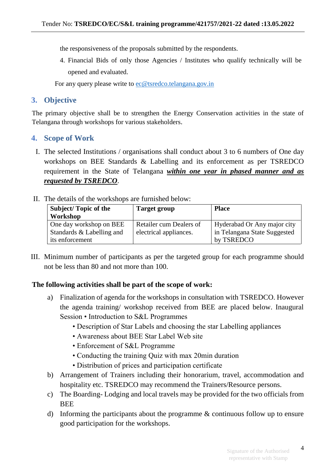the responsiveness of the proposals submitted by the respondents.

4. Financial Bids of only those Agencies / Institutes who qualify technically will be opened and evaluated.

For any query please write to [ec@tsredco.telangana.gov.in](mailto:ec@tsredco.telangana.gov.in)

### <span id="page-3-0"></span>**3. Objective**

The primary objective shall be to strengthen the Energy Conservation activities in the state of Telangana through workshops for various stakeholders.

#### <span id="page-3-1"></span>**4. Scope of Work**

- I. The selected Institutions / organisations shall conduct about 3 to 6 numbers of One day workshops on BEE Standards & Labelling and its enforcement as per TSREDCO requirement in the State of Telangana *within one year in phased manner and as requested by TSREDCO*.
- II. The details of the workshops are furnished below:

| <b>Subject/Topic of the</b><br>Workshop      | <b>Target group</b>     | <b>Place</b>                               |
|----------------------------------------------|-------------------------|--------------------------------------------|
| One day workshop on BEE                      | Retailer cum Dealers of | Hyderabad Or Any major city                |
| Standards & Labelling and<br>its enforcement | electrical appliances.  | in Telangana State Suggested<br>by TSREDCO |

III. Minimum number of participants as per the targeted group for each programme should not be less than 80 and not more than 100.

### **The following activities shall be part of the scope of work:**

- a) Finalization of agenda for the workshops in consultation with TSREDCO. However the agenda training/ workshop received from BEE are placed below. Inaugural Session • Introduction to S&L Programmes
	- Description of Star Labels and choosing the star Labelling appliances
	- Awareness about BEE Star Label Web site
	- Enforcement of S&L Programme
	- Conducting the training Quiz with max 20min duration
	- Distribution of prices and participation certificate
- b) Arrangement of Trainers including their honorarium, travel, accommodation and hospitality etc. TSREDCO may recommend the Trainers/Resource persons.
- c) The Boarding- Lodging and local travels may be provided for the two officials from **BEE**
- d) Informing the participants about the programme & continuous follow up to ensure good participation for the workshops.

4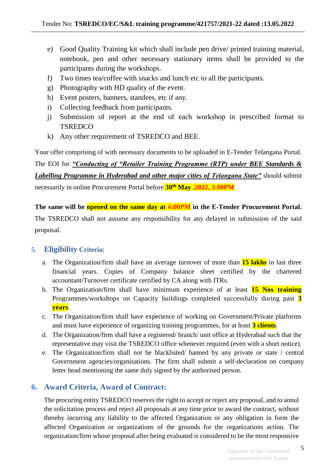- e) Good Quality Training kit which shall include pen drive/ printed training material, notebook, pen and other necessary stationary items shall be provided to the participants during the workshops.
- f) Two times tea/coffee with snacks and lunch etc to all the participants.
- g) Photography with HD quality of the event.
- h) Event posters, banners, standees, etc if any.
- i) Collecting feedback from participants.
- j) Submission of report at the end of each workshop in prescribed format to **TSREDCO**
- k) Any other requirement of TSREDCO and BEE.

Your offer comprising of with necessary documents to be uploaded in E-Tender Telangana Portal.

The EOI for *"Conducting of "Retailer Training Programme (RTP) under BEE Standards & Labelling Programme in Hyderabad and other major cities of Telangana State"* should submit necessarily in online Procurement Portal before **30th May ,2022, 3:00PM**

**The same will be opened on the same day at 4:00PM in the E-Tender Procurement Portal.**  The TSREDCO shall not assume any responsibility for any delayed in submission of the said proposal.

# <span id="page-4-0"></span>**5. Eligibility Criteria:**

- a. The Organization/firm shall have an average turnover of more than **15 lakhs** in last three financial years. Copies of Company balance sheet certified by the chartered accountant/Turnover certificate certified by CA along with ITRs.
- b. The Organization/firm shall have minimum experience of at least **15 Nos training** Programmes/workshops on Capacity buildings completed successfully during past **3 years**.
- c. The Organization/firm shall have experience of working on Government/Private platforms and must have experience of organizing training programmes, for at least **3 clients**.
- d. The Organization/firm shall have a registered/ branch/ unit office at Hyderabad such that the representative may visit the TSREDCO office whenever required (even with a short notice).
- e. The Organization/firm shall not be blacklisted/ banned by any private or state / central Government agencies/organisations. The firm shall submit a self-declaration on company letter head mentioning the same duly signed by the authorised person.

# <span id="page-4-1"></span>**6. Award Criteria, Award of Contract:**

The procuring entity TSREDCO reserves the right to accept or reject any proposal, and to annul the solicitation process and reject all proposals at any time prior to award the contract, without thereby incurring any liability to the affected Organization or any obligation in form the affected Organization or organizations of the grounds for the organizations action. The organization/firm whose proposal after being evaluated is considered to be the most responsive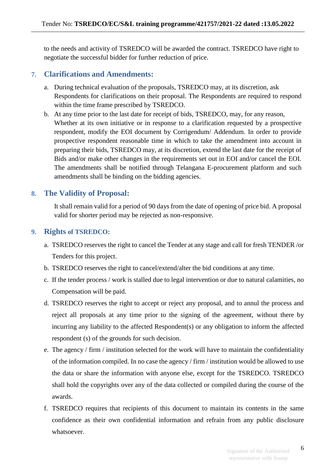to the needs and activity of TSREDCO will be awarded the contract. TSREDCO have right to negotiate the successful bidder for further reduction of price.

### <span id="page-5-0"></span>**7. Clarifications and Amendments:**

- a. During technical evaluation of the proposals, TSREDCO may, at its discretion, ask Respondents for clarifications on their proposal. The Respondents are required to respond within the time frame prescribed by TSREDCO.
- b. At any time prior to the last date for receipt of bids, TSREDCO, may, for any reason, Whether at its own initiative or in response to a clarification requested by a prospective respondent, modify the EOI document by Corrigendum/ Addendum. In order to provide prospective respondent reasonable time in which to take the amendment into account in preparing their bids, TSREDCO may, at its discretion, extend the last date for the receipt of Bids and/or make other changes in the requirements set out in EOI and/or cancel the EOI. The amendments shall be notified through Telangana E-procurement platform and such amendments shall be binding on the bidding agencies.

### <span id="page-5-1"></span>**8. The Validity of Proposal:**

It shall remain valid for a period of 90 days from the date of opening of price bid. A proposal valid for shorter period may be rejected as non-responsive.

#### <span id="page-5-2"></span>**9. Rights of TSREDCO:**

- a. TSREDCO reserves the right to cancel the Tender at any stage and call for fresh TENDER /or Tenders for this project.
- b. TSREDCO reserves the right to cancel/extend/alter the bid conditions at any time.
- c. If the tender process / work is stalled due to legal intervention or due to natural calamities, no Compensation will be paid.
- d. TSREDCO reserves the right to accept or reject any proposal, and to annul the process and reject all proposals at any time prior to the signing of the agreement, without there by incurring any liability to the affected Respondent(s) or any obligation to inform the affected respondent (s) of the grounds for such decision.
- e. The agency / firm / institution selected for the work will have to maintain the confidentiality of the information compiled. In no case the agency / firm / institution would be allowed to use the data or share the information with anyone else, except for the TSREDCO. TSREDCO shall hold the copyrights over any of the data collected or compiled during the course of the awards.
- f. TSREDCO requires that recipients of this document to maintain its contents in the same confidence as their own confidential information and refrain from any public disclosure whatsoever.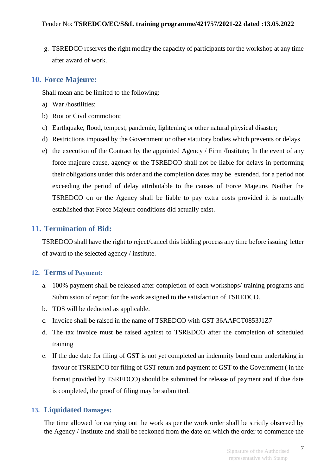g. TSREDCO reserves the right modify the capacity of participants for the workshop at any time after award of work.

## <span id="page-6-0"></span>**10. Force Majeure:**

Shall mean and be limited to the following:

- a) War /hostilities;
- b) Riot or Civil commotion;
- c) Earthquake, flood, tempest, pandemic, lightening or other natural physical disaster;
- d) Restrictions imposed by the Government or other statutory bodies which prevents or delays
- e) the execution of the Contract by the appointed Agency / Firm /Institute; In the event of any force majeure cause, agency or the TSREDCO shall not be liable for delays in performing their obligations under this order and the completion dates may be extended, for a period not exceeding the period of delay attributable to the causes of Force Majeure. Neither the TSREDCO on or the Agency shall be liable to pay extra costs provided it is mutually established that Force Majeure conditions did actually exist.

# <span id="page-6-1"></span>**11. Termination of Bid:**

TSREDCO shall have the right to reject/cancel this bidding process any time before issuing letter of award to the selected agency / institute.

# <span id="page-6-2"></span>**12. Terms of Payment:**

- a. 100% payment shall be released after completion of each workshops/ training programs and Submission of report for the work assigned to the satisfaction of TSREDCO.
- b. TDS will be deducted as applicable.
- c. Invoice shall be raised in the name of TSREDCO with GST 36AAFCT0853J1Z7
- d. The tax invoice must be raised against to TSREDCO after the completion of scheduled training
- e. If the due date for filing of GST is not yet completed an indemnity bond cum undertaking in favour of TSREDCO for filing of GST return and payment of GST to the Government ( in the format provided by TSREDCO) should be submitted for release of payment and if due date is completed, the proof of filing may be submitted.

# <span id="page-6-3"></span>**13. Liquidated Damages:**

The time allowed for carrying out the work as per the work order shall be strictly observed by the Agency / Institute and shall be reckoned from the date on which the order to commence the

7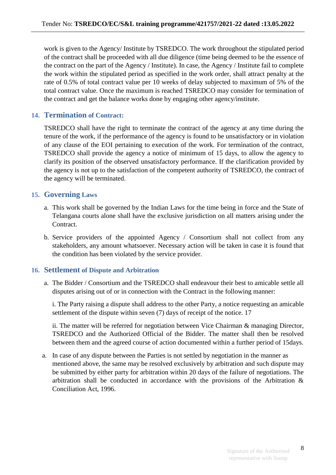work is given to the Agency/ Institute by TSREDCO. The work throughout the stipulated period of the contract shall be proceeded with all due diligence (time being deemed to be the essence of the contract on the part of the Agency / Institute). In case, the Agency / Institute fail to complete the work within the stipulated period as specified in the work order, shall attract penalty at the rate of 0.5% of total contract value per 10 weeks of delay subjected to maximum of 5% of the total contract value. Once the maximum is reached TSREDCO may consider for termination of the contract and get the balance works done by engaging other agency/institute.

### <span id="page-7-0"></span>**14. Termination of Contract:**

TSREDCO shall have the right to terminate the contract of the agency at any time during the tenure of the work, if the performance of the agency is found to be unsatisfactory or in violation of any clause of the EOI pertaining to execution of the work. For termination of the contract, TSREDCO shall provide the agency a notice of minimum of 15 days, to allow the agency to clarify its position of the observed unsatisfactory performance. If the clarification provided by the agency is not up to the satisfaction of the competent authority of TSREDCO, the contract of the agency will be terminated.

### <span id="page-7-1"></span>**15. Governing Laws**

- a. This work shall be governed by the Indian Laws for the time being in force and the State of Telangana courts alone shall have the exclusive jurisdiction on all matters arising under the Contract.
- b. Service providers of the appointed Agency / Consortium shall not collect from any stakeholders, any amount whatsoever. Necessary action will be taken in case it is found that the condition has been violated by the service provider.

### <span id="page-7-2"></span>**16. Settlement of Dispute and Arbitration**

a. The Bidder / Consortium and the TSREDCO shall endeavour their best to amicable settle all disputes arising out of or in connection with the Contract in the following manner:

i. The Party raising a dispute shall address to the other Party, a notice requesting an amicable settlement of the dispute within seven (7) days of receipt of the notice. 17

ii. The matter will be referred for negotiation between Vice Chairman & managing Director, TSREDCO and the Authorized Official of the Bidder. The matter shall then be resolved between them and the agreed course of action documented within a further period of 15days.

a. In case of any dispute between the Parties is not settled by negotiation in the manner as mentioned above, the same may be resolved exclusively by arbitration and such dispute may be submitted by either party for arbitration within 20 days of the failure of negotiations. The arbitration shall be conducted in accordance with the provisions of the Arbitration & Conciliation Act, 1996.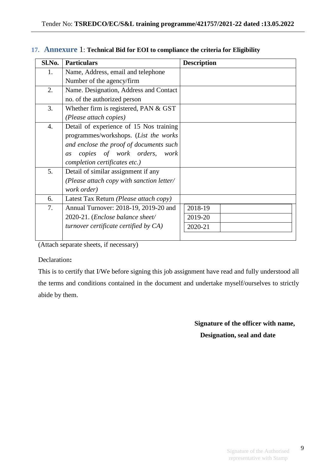| Sl.No. | <b>Particulars</b>                        | <b>Description</b> |
|--------|-------------------------------------------|--------------------|
| 1.     | Name, Address, email and telephone        |                    |
|        | Number of the agency/firm                 |                    |
| 2.     | Name. Designation, Address and Contact    |                    |
|        | no. of the authorized person              |                    |
| 3.     | Whether firm is registered, PAN $&$ GST   |                    |
|        | (Please attach copies)                    |                    |
| 4.     | Detail of experience of 15 Nos training   |                    |
|        | programmes/workshops. (List the works     |                    |
|        | and enclose the proof of documents such   |                    |
|        | copies of work orders, work<br>as         |                    |
|        | completion certificates etc.)             |                    |
| 5.     | Detail of similar assignment if any       |                    |
|        | (Please attach copy with sanction letter/ |                    |
|        | work order)                               |                    |
| 6.     | Latest Tax Return (Please attach copy)    |                    |
| 7.     | Annual Turnover: 2018-19, 2019-20 and     | 2018-19            |
|        | 2020-21. (Enclose balance sheet/          | 2019-20            |
|        | turnover certificate certified by $CA$ )  | 2020-21            |
|        |                                           |                    |

#### <span id="page-8-0"></span>**17. Annexure** 1: **Technical Bid for EOI to compliance the criteria for Eligibility**

(Attach separate sheets, if necessary)

#### Declaration**:**

This is to certify that I/We before signing this job assignment have read and fully understood all the terms and conditions contained in the document and undertake myself/ourselves to strictly abide by them.

> **Signature of the officer with name, Designation, seal and date**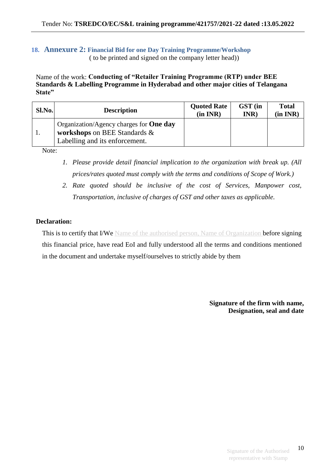### <span id="page-9-0"></span>**18. Annexure 2: Financial Bid for one Day Training Programme/Workshop** ( to be printed and signed on the company letter head))

Name of the work: **Conducting of "Retailer Training Programme (RTP) under BEE Standards & Labelling Programme in Hyderabad and other major cities of Telangana State"** 

| Sl.No. | <b>Description</b>                                                                                               | <b>Quoted Rate</b><br>(in INR) | GST (in<br>INR) | <b>Total</b><br>(in INR) |
|--------|------------------------------------------------------------------------------------------------------------------|--------------------------------|-----------------|--------------------------|
|        | Organization/Agency charges for <b>One day</b><br>workshops on BEE Standards &<br>Labelling and its enforcement. |                                |                 |                          |

Note:

- *1. Please provide detail financial implication to the organization with break up. (All prices/rates quoted must comply with the terms and conditions of Scope of Work.)*
- *2. Rate quoted should be inclusive of the cost of Services, Manpower cost, Transportation, inclusive of charges of GST and other taxes as applicable.*

#### **Declaration:**

This is to certify that I/We Name of the authorised person, Name of Organization before signing this financial price, have read EoI and fully understood all the terms and conditions mentioned in the document and undertake myself/ourselves to strictly abide by them

> **Signature of the firm with name, Designation, seal and date**